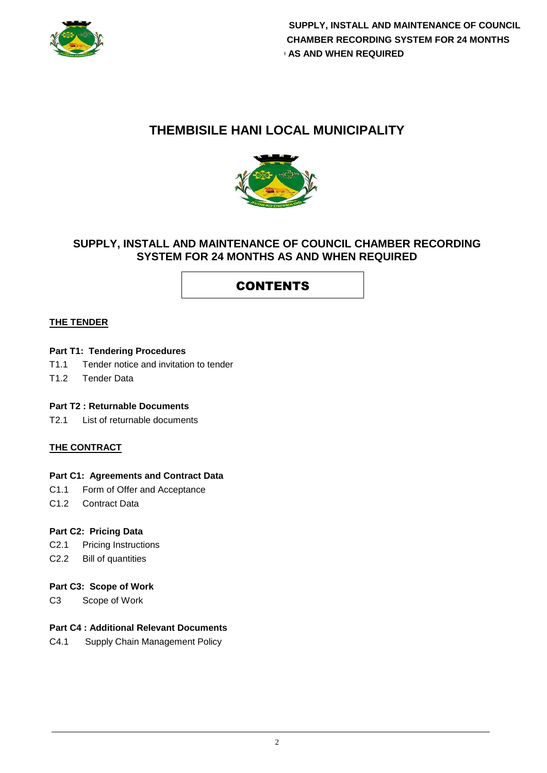

## **THEMBISILE HANI LOCAL MUNICIPALITY**



### **SUPPLY, INSTALL AND MAINTENANCE OF COUNCIL CHAMBER RECORDING SYSTEM FOR 24 MONTHS AS AND WHEN REQUIRED**

# CONTENTS

#### **THE TENDER**

#### **Part T1: Tendering Procedures**

- T1.1 Tender notice and invitation to tender
- T1.2 Tender Data

#### **Part T2 : Returnable Documents**

T2.1 List of returnable documents

#### **THE CONTRACT**

#### **Part C1: Agreements and Contract Data**

- C1.1 Form of Offer and Acceptance
- C1.2 Contract Data

#### **Part C2: Pricing Data**

- C2.1 Pricing Instructions
- C2.2 Bill of quantities

#### **Part C3: Scope of Work**

C3 Scope of Work

#### **Part C4 : Additional Relevant Documents**

C4.1 Supply Chain Management Policy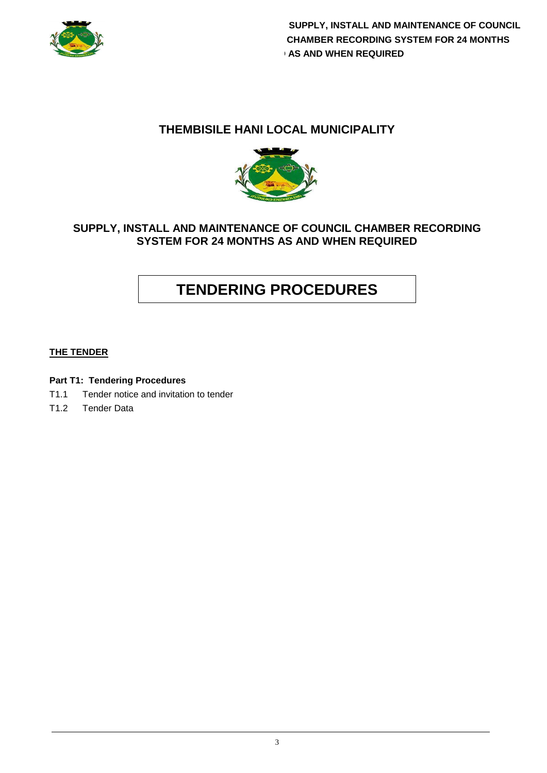

 **SUPPLY, INSTALL AND MAINTENANCE OF COUNCIL CHAMBER RECORDING SYSTEM FOR 24 MONTHS AS AND WHEN REQUIRED** 

### **THEMBISILE HANI LOCAL MUNICIPALITY**



### **SUPPLY, INSTALL AND MAINTENANCE OF COUNCIL CHAMBER RECORDING SYSTEM FOR 24 MONTHS AS AND WHEN REQUIRED**

# **TENDERING PROCEDURES**

#### **THE TENDER**

#### **Part T1: Tendering Procedures**

- T1.1 Tender notice and invitation to tender
- T1.2 Tender Data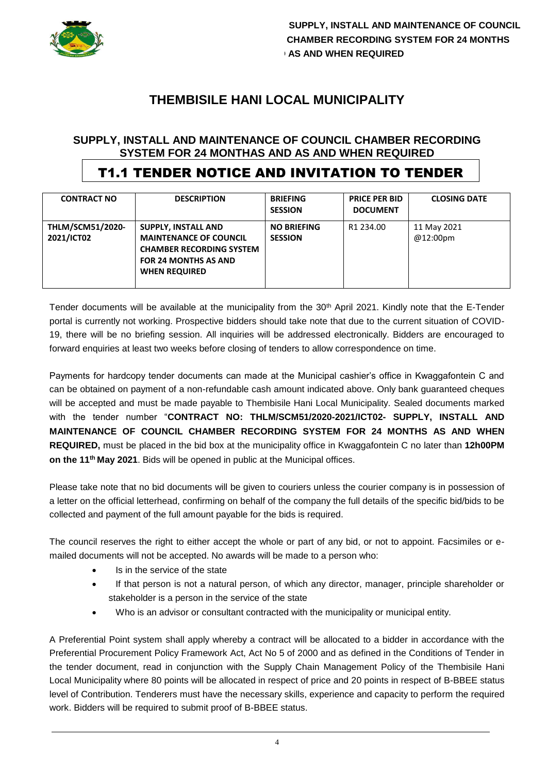

# **THEMBISILE HANI LOCAL MUNICIPALITY**

### **SUPPLY, INSTALL AND MAINTENANCE OF COUNCIL CHAMBER RECORDING SYSTEM FOR 24 MONTHAS AND AS AND WHEN REQUIRED**

# T1.1 TENDER NOTICE AND INVITATION TO TENDER

| <b>CONTRACT NO</b>                    | <b>DESCRIPTION</b>                                                                                                                                    | <b>BRIEFING</b><br><b>SESSION</b>    | <b>PRICE PER BID</b><br><b>DOCUMENT</b> | <b>CLOSING DATE</b>     |
|---------------------------------------|-------------------------------------------------------------------------------------------------------------------------------------------------------|--------------------------------------|-----------------------------------------|-------------------------|
| <b>THLM/SCM51/2020-</b><br>2021/ICT02 | <b>SUPPLY, INSTALL AND</b><br><b>MAINTENANCE OF COUNCIL</b><br><b>CHAMBER RECORDING SYSTEM</b><br><b>FOR 24 MONTHS AS AND</b><br><b>WHEN REQUIRED</b> | <b>NO BRIEFING</b><br><b>SESSION</b> | R1 234.00                               | 11 May 2021<br>@12:00pm |

Tender documents will be available at the municipality from the 30<sup>th</sup> April 2021. Kindly note that the E-Tender portal is currently not working. Prospective bidders should take note that due to the current situation of COVID-19, there will be no briefing session. All inquiries will be addressed electronically. Bidders are encouraged to forward enquiries at least two weeks before closing of tenders to allow correspondence on time.

Payments for hardcopy tender documents can made at the Municipal cashier's office in Kwaggafontein C and can be obtained on payment of a non-refundable cash amount indicated above. Only bank guaranteed cheques will be accepted and must be made payable to Thembisile Hani Local Municipality. Sealed documents marked with the tender number "**CONTRACT NO: THLM/SCM51/2020-2021/ICT02- SUPPLY, INSTALL AND MAINTENANCE OF COUNCIL CHAMBER RECORDING SYSTEM FOR 24 MONTHS AS AND WHEN REQUIRED,** must be placed in the bid box at the municipality office in Kwaggafontein C no later than **12h00PM on the 11th May 2021**. Bids will be opened in public at the Municipal offices.

Please take note that no bid documents will be given to couriers unless the courier company is in possession of a letter on the official letterhead, confirming on behalf of the company the full details of the specific bid/bids to be collected and payment of the full amount payable for the bids is required.

The council reserves the right to either accept the whole or part of any bid, or not to appoint. Facsimiles or emailed documents will not be accepted. No awards will be made to a person who:

- Is in the service of the state
- If that person is not a natural person, of which any director, manager, principle shareholder or stakeholder is a person in the service of the state
- Who is an advisor or consultant contracted with the municipality or municipal entity.

A Preferential Point system shall apply whereby a contract will be allocated to a bidder in accordance with the Preferential Procurement Policy Framework Act, Act No 5 of 2000 and as defined in the Conditions of Tender in the tender document, read in conjunction with the Supply Chain Management Policy of the Thembisile Hani Local Municipality where 80 points will be allocated in respect of price and 20 points in respect of B-BBEE status level of Contribution. Tenderers must have the necessary skills, experience and capacity to perform the required work. Bidders will be required to submit proof of B-BBEE status.